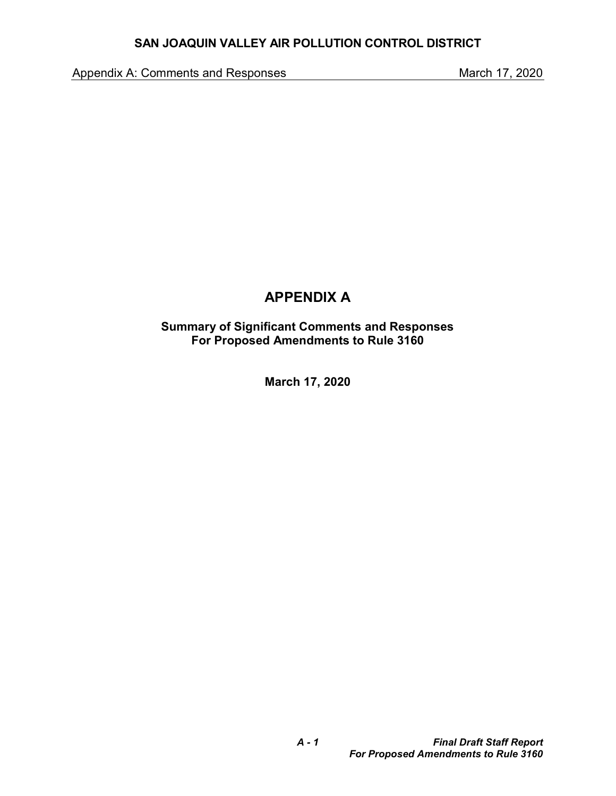Appendix A: Comments and Responses March 17, 2020

# APPENDIX A

Summary of Significant Comments and Responses For Proposed Amendments to Rule 3160

March 17, 2020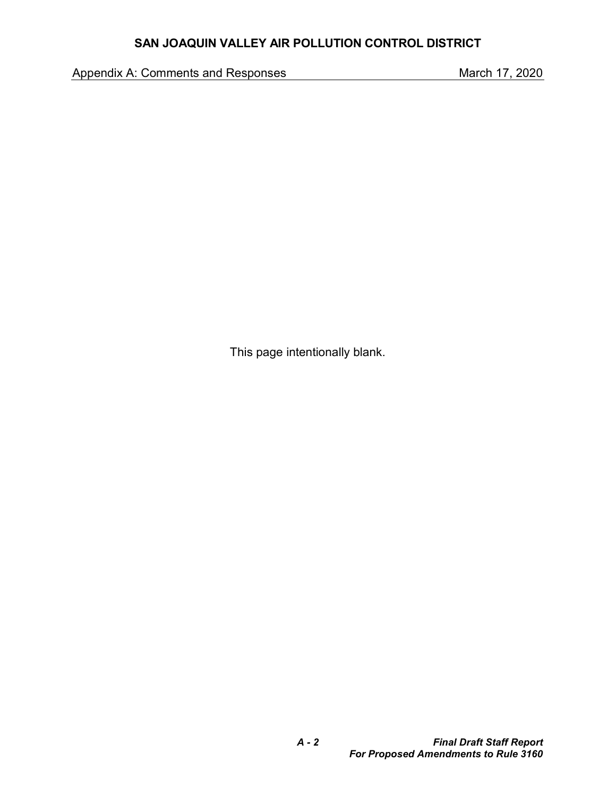Appendix A: Comments and Responses March 17, 2020

This page intentionally blank.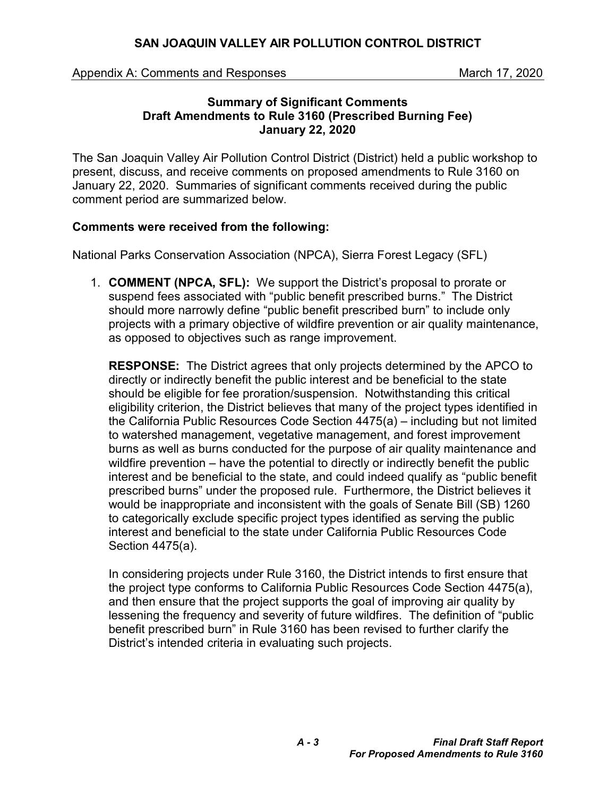Appendix A: Comments and Responses March 17, 2020

#### Summary of Significant Comments Draft Amendments to Rule 3160 (Prescribed Burning Fee) January 22, 2020

The San Joaquin Valley Air Pollution Control District (District) held a public workshop to present, discuss, and receive comments on proposed amendments to Rule 3160 on January 22, 2020. Summaries of significant comments received during the public comment period are summarized below.

#### Comments were received from the following:

National Parks Conservation Association (NPCA), Sierra Forest Legacy (SFL)

1. COMMENT (NPCA, SFL): We support the District's proposal to prorate or suspend fees associated with "public benefit prescribed burns." The District should more narrowly define "public benefit prescribed burn" to include only projects with a primary objective of wildfire prevention or air quality maintenance, as opposed to objectives such as range improvement.

RESPONSE: The District agrees that only projects determined by the APCO to directly or indirectly benefit the public interest and be beneficial to the state should be eligible for fee proration/suspension. Notwithstanding this critical eligibility criterion, the District believes that many of the project types identified in the California Public Resources Code Section 4475(a) – including but not limited to watershed management, vegetative management, and forest improvement burns as well as burns conducted for the purpose of air quality maintenance and wildfire prevention – have the potential to directly or indirectly benefit the public interest and be beneficial to the state, and could indeed qualify as "public benefit prescribed burns" under the proposed rule. Furthermore, the District believes it would be inappropriate and inconsistent with the goals of Senate Bill (SB) 1260 to categorically exclude specific project types identified as serving the public interest and beneficial to the state under California Public Resources Code Section 4475(a).

In considering projects under Rule 3160, the District intends to first ensure that the project type conforms to California Public Resources Code Section 4475(a), and then ensure that the project supports the goal of improving air quality by lessening the frequency and severity of future wildfires. The definition of "public benefit prescribed burn" in Rule 3160 has been revised to further clarify the District's intended criteria in evaluating such projects.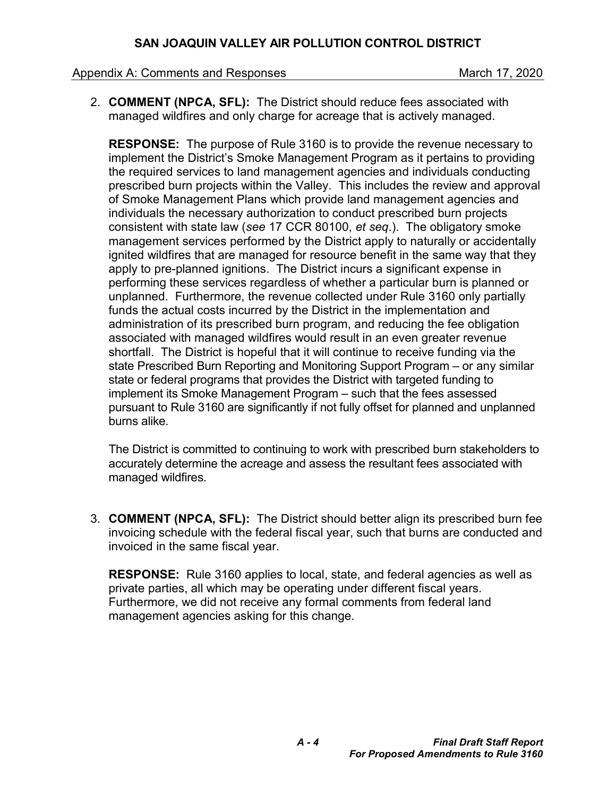#### Appendix A: Comments and Responses March 17, 2020

2. COMMENT (NPCA, SFL): The District should reduce fees associated with managed wildfires and only charge for acreage that is actively managed.

**RESPONSE:** The purpose of Rule 3160 is to provide the revenue necessary to implement the District's Smoke Management Program as it pertains to providing the required services to land management agencies and individuals conducting prescribed burn projects within the Valley. This includes the review and approval of Smoke Management Plans which provide land management agencies and individuals the necessary authorization to conduct prescribed burn projects consistent with state law (see 17 CCR 80100, et seq.). The obligatory smoke management services performed by the District apply to naturally or accidentally ignited wildfires that are managed for resource benefit in the same way that they apply to pre-planned ignitions. The District incurs a significant expense in performing these services regardless of whether a particular burn is planned or unplanned. Furthermore, the revenue collected under Rule 3160 only partially funds the actual costs incurred by the District in the implementation and administration of its prescribed burn program, and reducing the fee obligation associated with managed wildfires would result in an even greater revenue shortfall. The District is hopeful that it will continue to receive funding via the state Prescribed Burn Reporting and Monitoring Support Program – or any similar state or federal programs that provides the District with targeted funding to implement its Smoke Management Program – such that the fees assessed pursuant to Rule 3160 are significantly if not fully offset for planned and unplanned burns alike.

The District is committed to continuing to work with prescribed burn stakeholders to accurately determine the acreage and assess the resultant fees associated with managed wildfires.

3. COMMENT (NPCA, SFL): The District should better align its prescribed burn fee invoicing schedule with the federal fiscal year, such that burns are conducted and invoiced in the same fiscal year.

**RESPONSE:** Rule 3160 applies to local, state, and federal agencies as well as private parties, all which may be operating under different fiscal years. Furthermore, we did not receive any formal comments from federal land management agencies asking for this change.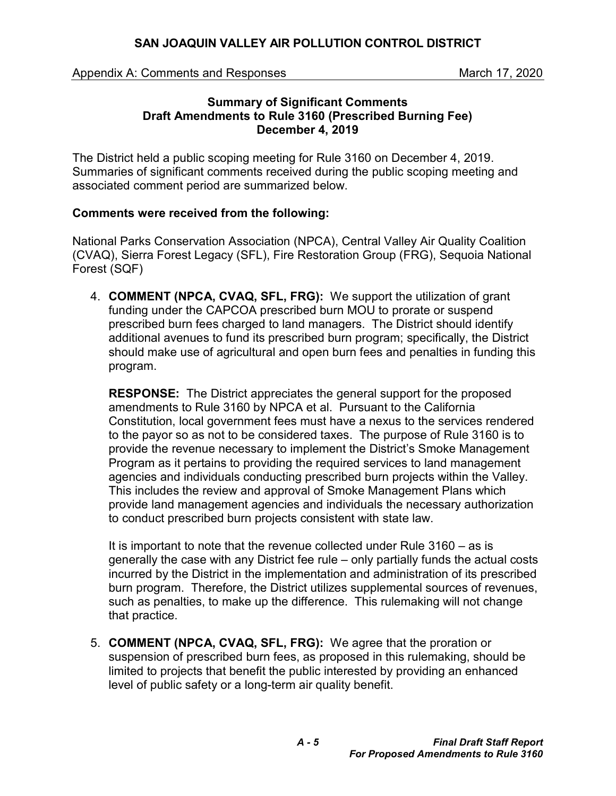Appendix A: Comments and Responses March 17, 2020

#### Summary of Significant Comments Draft Amendments to Rule 3160 (Prescribed Burning Fee) December 4, 2019

The District held a public scoping meeting for Rule 3160 on December 4, 2019. Summaries of significant comments received during the public scoping meeting and associated comment period are summarized below.

#### Comments were received from the following:

National Parks Conservation Association (NPCA), Central Valley Air Quality Coalition (CVAQ), Sierra Forest Legacy (SFL), Fire Restoration Group (FRG), Sequoia National Forest (SQF)

4. COMMENT (NPCA, CVAQ, SFL, FRG): We support the utilization of grant funding under the CAPCOA prescribed burn MOU to prorate or suspend prescribed burn fees charged to land managers. The District should identify additional avenues to fund its prescribed burn program; specifically, the District should make use of agricultural and open burn fees and penalties in funding this program.

**RESPONSE:** The District appreciates the general support for the proposed amendments to Rule 3160 by NPCA et al. Pursuant to the California Constitution, local government fees must have a nexus to the services rendered to the payor so as not to be considered taxes. The purpose of Rule 3160 is to provide the revenue necessary to implement the District's Smoke Management Program as it pertains to providing the required services to land management agencies and individuals conducting prescribed burn projects within the Valley. This includes the review and approval of Smoke Management Plans which provide land management agencies and individuals the necessary authorization to conduct prescribed burn projects consistent with state law.

It is important to note that the revenue collected under Rule 3160 – as is generally the case with any District fee rule – only partially funds the actual costs incurred by the District in the implementation and administration of its prescribed burn program. Therefore, the District utilizes supplemental sources of revenues, such as penalties, to make up the difference. This rulemaking will not change that practice.

5. COMMENT (NPCA, CVAQ, SFL, FRG): We agree that the proration or suspension of prescribed burn fees, as proposed in this rulemaking, should be limited to projects that benefit the public interested by providing an enhanced level of public safety or a long-term air quality benefit.